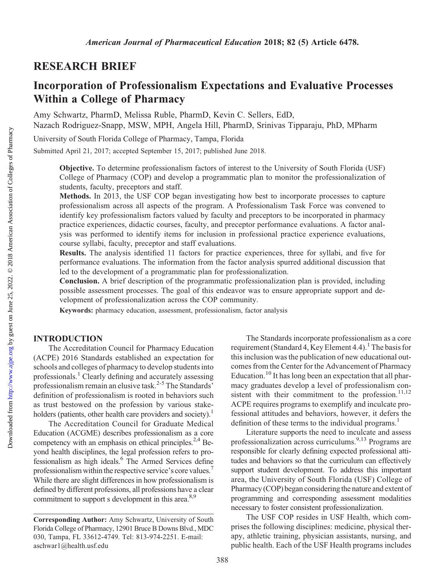## RESEARCH BRIEF

# Incorporation of Professionalism Expectations and Evaluative Processes Within a College of Pharmacy

Amy Schwartz, PharmD, Melissa Ruble, PharmD, Kevin C. Sellers, EdD, Nazach Rodriguez-Snapp, MSW, MPH, Angela Hill, PharmD, Srinivas Tipparaju, PhD, MPharm

University of South Florida College of Pharmacy, Tampa, Florida

Submitted April 21, 2017; accepted September 15, 2017; published June 2018.

Objective. To determine professionalism factors of interest to the University of South Florida (USF) College of Pharmacy (COP) and develop a programmatic plan to monitor the professionalization of students, faculty, preceptors and staff.

Methods. In 2013, the USF COP began investigating how best to incorporate processes to capture professionalism across all aspects of the program. A Professionalism Task Force was convened to identify key professionalism factors valued by faculty and preceptors to be incorporated in pharmacy practice experiences, didactic courses, faculty, and preceptor performance evaluations. A factor analysis was performed to identify items for inclusion in professional practice experience evaluations, course syllabi, faculty, preceptor and staff evaluations.

Results. The analysis identified 11 factors for practice experiences, three for syllabi, and five for performance evaluations. The information from the factor analysis spurred additional discussion that led to the development of a programmatic plan for professionalization.

Conclusion. A brief description of the programmatic professionalization plan is provided, including possible assessment processes. The goal of this endeavor was to ensure appropriate support and development of professionalization across the COP community.

Keywords: pharmacy education, assessment, professionalism, factor analysis

## INTRODUCTION

The Accreditation Council for Pharmacy Education (ACPE) 2016 Standards established an expectation for schools and colleges of pharmacy to develop students into professionals.<sup>1</sup> Clearly defining and accurately assessing professionalism remain an elusive task.<sup>2-5</sup> The Standards' definition of professionalism is rooted in behaviors such as trust bestowed on the profession by various stakeholders (patients, other health care providers and society).<sup>1</sup>

The Accreditation Council for Graduate Medical Education (ACGME) describes professionalism as a core competency with an emphasis on ethical principles.<sup>2,4</sup> Beyond health disciplines, the legal profession refers to professionalism as high ideals.6 The Armed Services define professionalism within the respective service's core values.7 While there are slight differences in how professionalism is defined by different professions, all professions have a clear commitment to support s development in this area.<sup>8,9</sup>

The Standards incorporate professionalism as a core requirement (Standard 4, Key Element 4.4).<sup>1</sup> The basis for this inclusion was the publication of new educational outcomes from the Center for the Advancement of Pharmacy Education.<sup>10</sup> It has long been an expectation that all pharmacy graduates develop a level of professionalism consistent with their commitment to the profession. $11,12$ ACPE requires programs to exemplify and inculcate professional attitudes and behaviors, however, it defers the definition of these terms to the individual programs.<sup>1</sup>

Literature supports the need to inculcate and assess professionalization across curriculums.9,13 Programs are responsible for clearly defining expected professional attitudes and behaviors so that the curriculum can effectively support student development. To address this important area, the University of South Florida (USF) College of Pharmacy (COP) began considering the nature and extent of programming and corresponding assessment modalities necessary to foster consistent professionalization.

The USF COP resides in USF Health, which comprises the following disciplines: medicine, physical therapy, athletic training, physician assistants, nursing, and public health. Each of the USF Health programs includes

Corresponding Author: Amy Schwartz, University of South Florida College of Pharmacy, 12901 Bruce B Downs Blvd., MDC 030, Tampa, FL 33612-4749. Tel: 813-974-2251. E-mail: [aschwar1@health.usf.edu](mailto:aschwar1@health.usf.edu)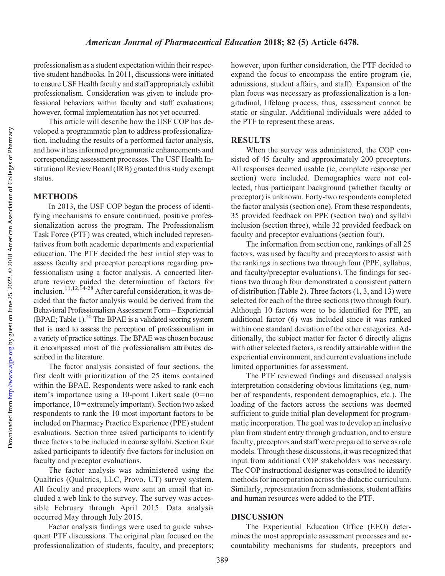professionalism as a student expectation within their respective student handbooks. In 2011, discussions were initiated to ensure USF Health faculty and staff appropriately exhibit professionalism. Consideration was given to include professional behaviors within faculty and staff evaluations; however, formal implementation has not yet occurred.

This article will describe how the USF COP has developed a programmatic plan to address professionalization, including the results of a performed factor analysis, and how it has informed programmatic enhancements and corresponding assessment processes. The USF Health Institutional Review Board (IRB) granted this study exempt status.

#### METHODS

In 2013, the USF COP began the process of identifying mechanisms to ensure continued, positive professionalization across the program. The Professionalism Task Force (PTF) was created, which included representatives from both academic departments and experiential education. The PTF decided the best initial step was to assess faculty and preceptor perceptions regarding professionalism using a factor analysis. A concerted literature review guided the determination of factors for inclusion.<sup>11,12,14-28</sup> After careful consideration, it was decided that the factor analysis would be derived from the Behavioral Professionalism Assessment Form – Experiential (BPAE; Table 1). $^{20}$  The BPAE is a validated scoring system that is used to assess the perception of professionalism in a variety of practice settings. The BPAE was chosen because it encompassed most of the professionalism attributes described in the literature.

The factor analysis consisted of four sections, the first dealt with prioritization of the 25 items contained within the BPAE. Respondents were asked to rank each item's importance using a 10-point Likert scale  $(0=no$ importance, 10=extremely important). Section two asked respondents to rank the 10 most important factors to be included on Pharmacy Practice Experience (PPE) student evaluations. Section three asked participants to identify three factors to be included in course syllabi. Section four asked participants to identify five factors for inclusion on faculty and preceptor evaluations.

The factor analysis was administered using the Qualtrics (Qualtrics, LLC, Provo, UT) survey system. All faculty and preceptors were sent an email that included a web link to the survey. The survey was accessible February through April 2015. Data analysis occurred May through July 2015.

Factor analysis findings were used to guide subsequent PTF discussions. The original plan focused on the professionalization of students, faculty, and preceptors; however, upon further consideration, the PTF decided to expand the focus to encompass the entire program (ie, admissions, student affairs, and staff). Expansion of the plan focus was necessary as professionalization is a longitudinal, lifelong process, thus, assessment cannot be static or singular. Additional individuals were added to the PTF to represent these areas.

### **RESULTS**

When the survey was administered, the COP consisted of 45 faculty and approximately 200 preceptors. All responses deemed usable (ie, complete response per section) were included. Demographics were not collected, thus participant background (whether faculty or preceptor) is unknown. Forty-two respondents completed the factor analysis (section one). From these respondents, 35 provided feedback on PPE (section two) and syllabi inclusion (section three), while 32 provided feedback on faculty and preceptor evaluations (section four).

The information from section one, rankings of all 25 factors, was used by faculty and preceptors to assist with the rankings in sections two through four (PPE, syllabus, and faculty/preceptor evaluations). The findings for sections two through four demonstrated a consistent pattern of distribution (Table 2). Three factors (1, 3, and 13) were selected for each of the three sections (two through four). Although 10 factors were to be identified for PPE, an additional factor (6) was included since it was ranked within one standard deviation of the other categories. Additionally, the subject matter for factor 6 directly aligns with other selected factors, is readily attainable within the experiential environment, and current evaluations include limited opportunities for assessment.

The PTF reviewed findings and discussed analysis interpretation considering obvious limitations (eg, number of respondents, respondent demographics, etc.). The loading of the factors across the sections was deemed sufficient to guide initial plan development for programmatic incorporation. The goal was to develop an inclusive plan from student entry through graduation, and to ensure faculty, preceptors and staff were prepared to serve as role models. Through these discussions, it was recognized that input from additional COP stakeholders was necessary. The COP instructional designer was consulted to identify methods for incorporation across the didactic curriculum. Similarly, representation from admissions, student affairs and human resources were added to the PTF.

#### **DISCUSSION**

The Experiential Education Office (EEO) determines the most appropriate assessment processes and accountability mechanisms for students, preceptors and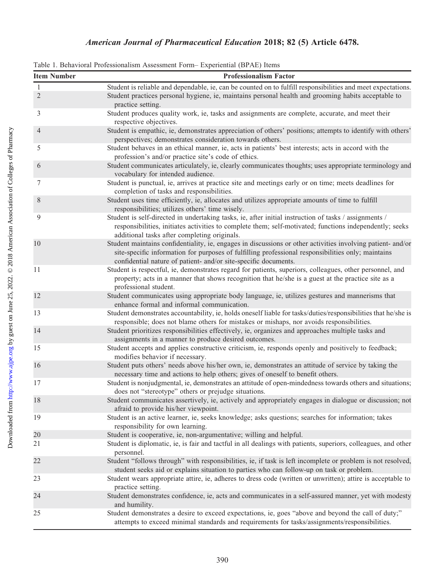## American Journal of Pharmaceutical Education 2018; 82 (5) Article 6478.

| Table 1. Behavioral Professionalism Assessment Form – Experiential (BPAE) Items |  |  |  |
|---------------------------------------------------------------------------------|--|--|--|
|---------------------------------------------------------------------------------|--|--|--|

| <b>Item Number</b> | <b>Professionalism Factor</b>                                                                                                                                                                                                                                                        |  |  |
|--------------------|--------------------------------------------------------------------------------------------------------------------------------------------------------------------------------------------------------------------------------------------------------------------------------------|--|--|
| 1                  | Student is reliable and dependable, ie, can be counted on to fulfill responsibilities and meet expectations.                                                                                                                                                                         |  |  |
| $\overline{2}$     | Student practices personal hygiene, ie, maintains personal health and grooming habits acceptable to<br>practice setting.                                                                                                                                                             |  |  |
| 3                  | Student produces quality work, ie, tasks and assignments are complete, accurate, and meet their<br>respective objectives.                                                                                                                                                            |  |  |
| $\overline{4}$     | Student is empathic, ie, demonstrates appreciation of others' positions; attempts to identify with others'<br>perspectives; demonstrates consideration towards others.                                                                                                               |  |  |
| 5                  | Student behaves in an ethical manner, ie, acts in patients' best interests; acts in accord with the<br>profession's and/or practice site's code of ethics.                                                                                                                           |  |  |
| 6                  | Student communicates articulately, ie, clearly communicates thoughts; uses appropriate terminology and<br>vocabulary for intended audience.                                                                                                                                          |  |  |
| 7                  | Student is punctual, ie, arrives at practice site and meetings early or on time; meets deadlines for<br>completion of tasks and responsibilities.                                                                                                                                    |  |  |
| $\,$ 8 $\,$        | Student uses time efficiently, ie, allocates and utilizes appropriate amounts of time to fulfill<br>responsibilities; utilizes others' time wisely.                                                                                                                                  |  |  |
| 9                  | Student is self-directed in undertaking tasks, ie, after initial instruction of tasks / assignments /<br>responsibilities, initiates activities to complete them; self-motivated; functions independently; seeks<br>additional tasks after completing originals.                     |  |  |
| 10                 | Student maintains confidentiality, ie, engages in discussions or other activities involving patient- and/or<br>site-specific information for purposes of fulfilling professional responsibilities only; maintains<br>confidential nature of patient- and/or site-specific documents. |  |  |
| 11                 | Student is respectful, ie, demonstrates regard for patients, superiors, colleagues, other personnel, and<br>property; acts in a manner that shows recognition that he/she is a guest at the practice site as a<br>professional student.                                              |  |  |
| 12                 | Student communicates using appropriate body language, ie, utilizes gestures and mannerisms that<br>enhance formal and informal communication.                                                                                                                                        |  |  |
| 13                 | Student demonstrates accountability, ie, holds oneself liable for tasks/duties/responsibilities that he/she is<br>responsible; does not blame others for mistakes or mishaps, nor avoids responsibilities.                                                                           |  |  |
| 14                 | Student prioritizes responsibilities effectively, ie, organizes and approaches multiple tasks and<br>assignments in a manner to produce desired outcomes.                                                                                                                            |  |  |
| 15                 | Student accepts and applies constructive criticism, ie, responds openly and positively to feedback;<br>modifies behavior if necessary.                                                                                                                                               |  |  |
| 16                 | Student puts others' needs above his/her own, ie, demonstrates an attitude of service by taking the<br>necessary time and actions to help others; gives of oneself to benefit others.                                                                                                |  |  |
| 17                 | Student is nonjudgmental, ie, demonstrates an attitude of open-mindedness towards others and situations;<br>does not "stereotype" others or prejudge situations.                                                                                                                     |  |  |
| 18                 | Student communicates assertively, ie, actively and appropriately engages in dialogue or discussion; not<br>afraid to provide his/her viewpoint.                                                                                                                                      |  |  |
| 19                 | Student is an active learner, ie, seeks knowledge; asks questions; searches for information; takes<br>responsibility for own learning.                                                                                                                                               |  |  |
| 20                 | Student is cooperative, ie, non-argumentative; willing and helpful.                                                                                                                                                                                                                  |  |  |
| 21                 | Student is diplomatic, ie, is fair and tactful in all dealings with patients, superiors, colleagues, and other<br>personnel.                                                                                                                                                         |  |  |
| 22                 | Student "follows through" with responsibilities, ie, if task is left incomplete or problem is not resolved,<br>student seeks aid or explains situation to parties who can follow-up on task or problem.                                                                              |  |  |
| 23                 | Student wears appropriate attire, ie, adheres to dress code (written or unwritten); attire is acceptable to<br>practice setting.                                                                                                                                                     |  |  |
| 24                 | Student demonstrates confidence, ie, acts and communicates in a self-assured manner, yet with modesty<br>and humility.                                                                                                                                                               |  |  |
| 25                 | Student demonstrates a desire to exceed expectations, ie, goes "above and beyond the call of duty;"<br>attempts to exceed minimal standards and requirements for tasks/assignments/responsibilities.                                                                                 |  |  |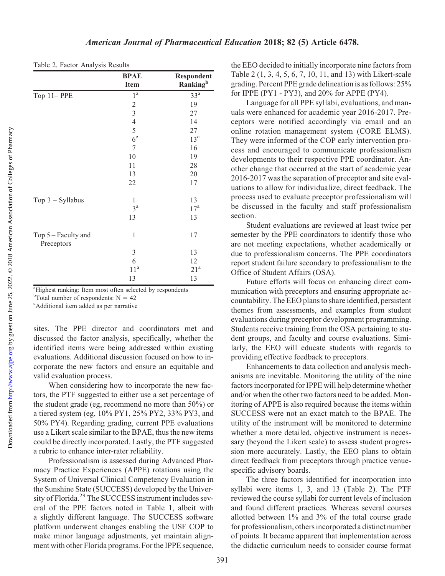|                                   | <b>BPAE</b>             | Respondent           |
|-----------------------------------|-------------------------|----------------------|
|                                   | <b>Item</b>             | Ranking <sup>b</sup> |
| Top 11-PPE                        | $1^{\mathrm{a}}$        | 33 <sup>a</sup>      |
|                                   | $\boldsymbol{2}$        | 19                   |
|                                   | $\overline{\mathbf{3}}$ | 27                   |
|                                   | $\overline{4}$          | 14                   |
|                                   | 5                       | 27                   |
|                                   | 6 <sup>c</sup>          | $13^{\circ}$         |
|                                   | $\overline{7}$          | 16                   |
|                                   | 10                      | 19                   |
|                                   | 11                      | 28                   |
|                                   | 13                      | 20                   |
|                                   | 22                      | 17                   |
| Top $3$ – Syllabus                | $\mathbf{1}$            | 13                   |
|                                   | $3^{\rm a}$             | 17 <sup>a</sup>      |
|                                   | 13                      | 13                   |
| Top 5 - Faculty and<br>Preceptors | 1                       | 17                   |
|                                   | 3                       | 13                   |
|                                   | 6                       | 12                   |
|                                   | 11 <sup>a</sup>         | 21 <sup>a</sup>      |
|                                   | 13                      | 13                   |

|  |  | Table 2. Factor Analysis Results |  |
|--|--|----------------------------------|--|
|--|--|----------------------------------|--|

<sup>a</sup>Highest ranking: Item most often selected by respondents

<sup>b</sup>Total number of respondents:  $N = 42$ <br><sup>c</sup>Additional item added as per parrative

Additional item added as per narrative

sites. The PPE director and coordinators met and discussed the factor analysis, specifically, whether the identified items were being addressed within existing evaluations. Additional discussion focused on how to incorporate the new factors and ensure an equitable and valid evaluation process.

When considering how to incorporate the new factors, the PTF suggested to either use a set percentage of the student grade (eg, recommend no more than 50%) or a tiered system (eg, 10% PY1, 25% PY2, 33% PY3, and 50% PY4). Regarding grading, current PPE evaluations use a Likert scale similar to the BPAE, thus the new items could be directly incorporated. Lastly, the PTF suggested a rubric to enhance inter-rater reliability.

Professionalism is assessed during Advanced Pharmacy Practice Experiences (APPE) rotations using the System of Universal Clinical Competency Evaluation in the Sunshine State (SUCCESS) developed by the University of Florida.<sup>29</sup> The SUCCESS instrument includes several of the PPE factors noted in Table 1, albeit with a slightly different language. The SUCCESS software platform underwent changes enabling the USF COP to make minor language adjustments, yet maintain alignment with other Florida programs. For the IPPE sequence,

the EEO decided to initially incorporate nine factors from Table 2 (1, 3, 4, 5, 6, 7, 10, 11, and 13) with Likert-scale grading. Percent PPE grade delineation is as follows: 25% for IPPE (PY1 - PY3), and 20% for APPE (PY4).

Language for all PPE syllabi, evaluations, and manuals were enhanced for academic year 2016-2017. Preceptors were notified accordingly via email and an online rotation management system (CORE ELMS). They were informed of the COP early intervention process and encouraged to communicate professionalism developments to their respective PPE coordinator. Another change that occurred at the start of academic year 2016-2017 was the separation of preceptor and site evaluations to allow for individualize, direct feedback. The process used to evaluate preceptor professionalism will be discussed in the faculty and staff professionalism section.

Student evaluations are reviewed at least twice per semester by the PPE coordinators to identify those who are not meeting expectations, whether academically or due to professionalism concerns. The PPE coordinators report student failure secondary to professionalism to the Office of Student Affairs (OSA).

Future efforts will focus on enhancing direct communication with preceptors and ensuring appropriate accountability. The EEO plans to share identified, persistent themes from assessments, and examples from student evaluations during preceptor development programming. Students receive training from the OSA pertaining to student groups, and faculty and course evaluations. Similarly, the EEO will educate students with regards to providing effective feedback to preceptors.

Enhancements to data collection and analysis mechanisms are inevitable. Monitoring the utility of the nine factors incorporated for IPPE will help determine whether and/or when the other two factors need to be added. Monitoring of APPE is also required because the items within SUCCESS were not an exact match to the BPAE. The utility of the instrument will be monitored to determine whether a more detailed, objective instrument is necessary (beyond the Likert scale) to assess student progression more accurately. Lastly, the EEO plans to obtain direct feedback from preceptors through practice venuespecific advisory boards.

The three factors identified for incorporation into syllabi were items 1, 3, and 13 (Table 2). The PTF reviewed the course syllabi for current levels of inclusion and found different practices. Whereas several courses allotted between 1% and 3% of the total course grade for professionalism, others incorporated a distinct number of points. It became apparent that implementation across the didactic curriculum needs to consider course format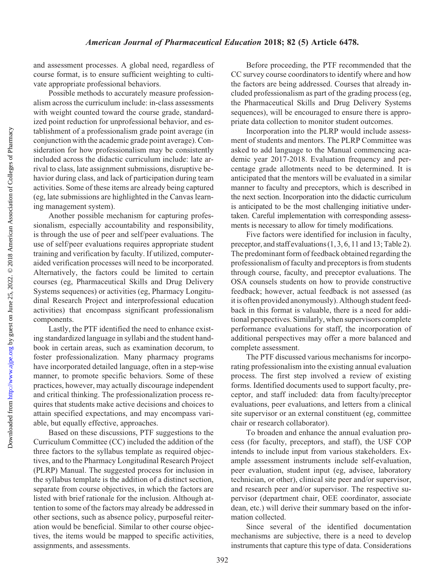#### American Journal of Pharmaceutical Education 2018; 82 (5) Article 6478.

and assessment processes. A global need, regardless of course format, is to ensure sufficient weighting to cultivate appropriate professional behaviors.

Possible methods to accurately measure professionalism across the curriculum include: in-class assessments with weight counted toward the course grade, standardized point reduction for unprofessional behavior, and establishment of a professionalism grade point average (in conjunction with the academic grade point average). Consideration for how professionalism may be consistently included across the didactic curriculum include: late arrival to class, late assignment submissions, disruptive behavior during class, and lack of participation during team activities. Some of these items are already being captured (eg, late submissions are highlighted in the Canvas learning management system).

Another possible mechanism for capturing professionalism, especially accountability and responsibility, is through the use of peer and self/peer evaluations. The use of self/peer evaluations requires appropriate student training and verification by faculty. If utilized, computeraided verification processes will need to be incorporated. Alternatively, the factors could be limited to certain courses (eg, Pharmaceutical Skills and Drug Delivery Systems sequences) or activities (eg, Pharmacy Longitudinal Research Project and interprofessional education activities) that encompass significant professionalism components.

Lastly, the PTF identified the need to enhance existing standardized language in syllabi and the student handbook in certain areas, such as examination decorum, to foster professionalization. Many pharmacy programs have incorporated detailed language, often in a step-wise manner, to promote specific behaviors. Some of these practices, however, may actually discourage independent and critical thinking. The professionalization process requires that students make active decisions and choices to attain specified expectations, and may encompass variable, but equally effective, approaches.

Based on these discussions, PTF suggestions to the Curriculum Committee (CC) included the addition of the three factors to the syllabus template as required objectives, and to the Pharmacy Longitudinal Research Project (PLRP) Manual. The suggested process for inclusion in the syllabus template is the addition of a distinct section, separate from course objectives, in which the factors are listed with brief rationale for the inclusion. Although attention to some of the factors may already be addressed in other sections, such as absence policy, purposeful reiteration would be beneficial. Similar to other course objectives, the items would be mapped to specific activities, assignments, and assessments.

Before proceeding, the PTF recommended that the CC survey course coordinators to identify where and how the factors are being addressed. Courses that already included professionalism as part of the grading process (eg, the Pharmaceutical Skills and Drug Delivery Systems sequences), will be encouraged to ensure there is appropriate data collection to monitor student outcomes.

Incorporation into the PLRP would include assessment of students and mentors. The PLRP Committee was asked to add language to the Manual commencing academic year 2017-2018. Evaluation frequency and percentage grade allotments need to be determined. It is anticipated that the mentors will be evaluated in a similar manner to faculty and preceptors, which is described in the next section. Incorporation into the didactic curriculum is anticipated to be the most challenging initiative undertaken. Careful implementation with corresponding assessments is necessary to allow for timely modifications.

Five factors were identified for inclusion in faculty, preceptor, and staff evaluations (1, 3, 6, 11 and 13; Table 2). The predominant form of feedback obtained regarding the professionalism of faculty and preceptors is from students through course, faculty, and preceptor evaluations. The OSA counsels students on how to provide constructive feedback; however, actual feedback is not assessed (as it is often provided anonymously). Although student feedback in this format is valuable, there is a need for additional perspectives. Similarly, when supervisors complete performance evaluations for staff, the incorporation of additional perspectives may offer a more balanced and complete assessment.

The PTF discussed various mechanisms for incorporating professionalism into the existing annual evaluation process. The first step involved a review of existing forms. Identified documents used to support faculty, preceptor, and staff included: data from faculty/preceptor evaluations, peer evaluations, and letters from a clinical site supervisor or an external constituent (eg, committee chair or research collaborator).

To broaden and enhance the annual evaluation process (for faculty, preceptors, and staff), the USF COP intends to include input from various stakeholders. Example assessment instruments include self-evaluation, peer evaluation, student input (eg, advisee, laboratory technician, or other), clinical site peer and/or supervisor, and research peer and/or supervisor. The respective supervisor (department chair, OEE coordinator, associate dean, etc.) will derive their summary based on the information collected.

Since several of the identified documentation mechanisms are subjective, there is a need to develop instruments that capture this type of data. Considerations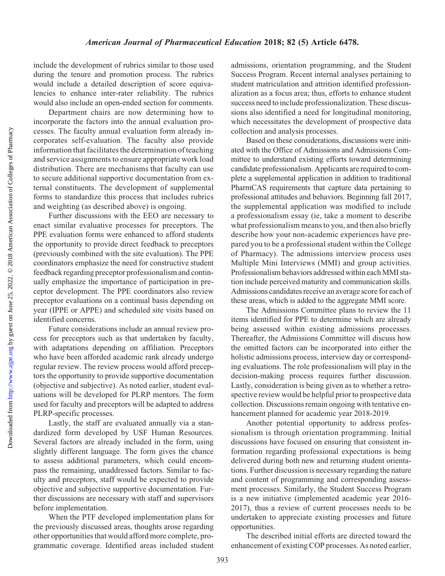Downloaded from

include the development of rubrics similar to those used during the tenure and promotion process. The rubrics would include a detailed description of score equivalencies to enhance inter-rater reliability. The rubrics would also include an open-ended section for comments.

Department chairs are now determining how to incorporate the factors into the annual evaluation processes. The faculty annual evaluation form already incorporates self-evaluation. The faculty also provide information that facilitates the determination of teaching and service assignments to ensure appropriate work load distribution. There are mechanisms that faculty can use to secure additional supportive documentation from external constituents. The development of supplemental forms to standardize this process that includes rubrics and weighting (as described above) is ongoing.

Further discussions with the EEO are necessary to enact similar evaluative processes for preceptors. The PPE evaluation forms were enhanced to afford students the opportunity to provide direct feedback to preceptors (previously combined with the site evaluation). The PPE coordinators emphasize the need for constructive student feedback regarding preceptor professionalism and continually emphasize the importance of participation in preceptor development. The PPE coordinators also review preceptor evaluations on a continual basis depending on year (IPPE or APPE) and scheduled site visits based on identified concerns.

Future considerations include an annual review process for preceptors such as that undertaken by faculty, with adaptations depending on affiliation. Preceptors who have been afforded academic rank already undergo regular review. The review process would afford preceptors the opportunity to provide supportive documentation (objective and subjective). As noted earlier, student evaluations will be developed for PLRP mentors. The form used for faculty and preceptors will be adapted to address PLRP-specific processes.

Lastly, the staff are evaluated annually via a standardized form developed by USF Human Resources. Several factors are already included in the form, using slightly different language. The form gives the chance to assess additional parameters, which could encompass the remaining, unaddressed factors. Similar to faculty and preceptors, staff would be expected to provide objective and subjective supportive documentation. Further discussions are necessary with staff and supervisors before implementation.

When the PTF developed implementation plans for the previously discussed areas, thoughts arose regarding other opportunities that would afford more complete, programmatic coverage. Identified areas included student

admissions, orientation programming, and the Student Success Program. Recent internal analyses pertaining to student matriculation and attrition identified professionalization as a focus area; thus, efforts to enhance student success need to include professionalization. These discussions also identified a need for longitudinal monitoring, which necessitates the development of prospective data collection and analysis processes.

Based on these considerations, discussions were initiated with the Office of Admissions and Admissions Committee to understand existing efforts toward determining candidate professionalism. Applicants are required to complete a supplemental application in addition to traditional PharmCAS requirements that capture data pertaining to professional attitudes and behaviors. Beginning fall 2017, the supplemental application was modified to include a professionalism essay (ie, take a moment to describe what professionalism means to you, and then also briefly describe how your non-academic experiences have prepared you to be a professional student within the College of Pharmacy). The admissions interview process uses Multiple Mini Interviews (MMI) and group activities. Professionalism behaviors addressed within eachMMI station include perceived maturity and communication skills. Admissions candidates receive an average score for each of these areas, which is added to the aggregate MMI score.

The Admissions Committee plans to review the 11 items identified for PPE to determine which are already being assessed within existing admissions processes. Thereafter, the Admissions Committee will discuss how the omitted factors can be incorporated into either the holistic admissions process, interview day or corresponding evaluations. The role professionalism will play in the decision-making process requires further discussion. Lastly, consideration is being given as to whether a retrospective review would be helpful prior to prospective data collection. Discussions remain ongoing with tentative enhancement planned for academic year 2018-2019.

Another potential opportunity to address professionalism is through orientation programming. Initial discussions have focused on ensuring that consistent information regarding professional expectations is being delivered during both new and returning student orientations. Further discussion is necessary regarding the nature and content of programming and corresponding assessment processes. Similarly, the Student Success Program is a new initiative (implemented academic year 2016- 2017), thus a review of current processes needs to be undertaken to appreciate existing processes and future opportunities.

The described initial efforts are directed toward the enhancement of existing COP processes. As noted earlier,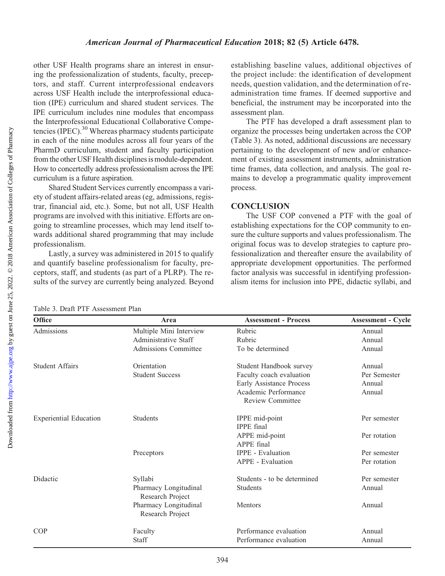## other USF Health programs share an interest in ensuring the professionalization of students, faculty, preceptors, and staff. Current interprofessional endeavors across USF Health include the interprofessional education (IPE) curriculum and shared student services. The IPE curriculum includes nine modules that encompass the Interprofessional Educational Collaborative Competencies (IPEC).<sup>30</sup> Whereas pharmacy students participate in each of the nine modules across all four years of the PharmD curriculum, student and faculty participation from the other USF Health disciplines is module-dependent. How to concertedly address professionalism across the IPE curriculum is a future aspiration. American Journal of Pharmaceutical Education 2018; 82 (5) Article 6478.

Shared Student Services currently encompass a variety of student affairs-related areas (eg, admissions, registrar, financial aid, etc.). Some, but not all, USF Health programs are involved with this initiative. Efforts are ongoing to streamline processes, which may lend itself towards additional shared programming that may include professionalism.

Lastly, a survey was administered in 2015 to qualify and quantify baseline professionalism for faculty, preceptors, staff, and students (as part of a PLRP). The results of the survey are currently being analyzed. Beyond

establishing baseline values, additional objectives of the project include: the identification of development needs, question validation, and the determination of readministration time frames. If deemed supportive and beneficial, the instrument may be incorporated into the assessment plan.

The PTF has developed a draft assessment plan to organize the processes being undertaken across the COP (Table 3). As noted, additional discussions are necessary pertaining to the development of new and/or enhancement of existing assessment instruments, administration time frames, data collection, and analysis. The goal remains to develop a programmatic quality improvement process.

## **CONCLUSION**

The USF COP convened a PTF with the goal of establishing expectations for the COP community to ensure the culture supports and values professionalism. The original focus was to develop strategies to capture professionalization and thereafter ensure the availability of appropriate development opportunities. The performed factor analysis was successful in identifying professionalism items for inclusion into PPE, didactic syllabi, and

Table 3. Draft PTF Assessment Plan

| Office                        | Area                                      | <b>Assessment - Process</b>                     | <b>Assessment - Cycle</b> |
|-------------------------------|-------------------------------------------|-------------------------------------------------|---------------------------|
| Admissions                    | Multiple Mini Interview                   | Rubric                                          | Annual                    |
|                               | Administrative Staff                      | Rubric                                          | Annual                    |
|                               | Admissions Committee                      | To be determined                                | Annual                    |
| <b>Student Affairs</b>        | Orientation                               | Student Handbook survey                         | Annual                    |
|                               | <b>Student Success</b>                    | Faculty coach evaluation                        | Per Semester              |
|                               |                                           | <b>Early Assistance Process</b>                 | Annual                    |
|                               |                                           | Academic Performance<br><b>Review Committee</b> | Annual                    |
| <b>Experiential Education</b> | <b>Students</b>                           | IPPE mid-point<br><b>IPPE</b> final             | Per semester              |
|                               |                                           | APPE mid-point                                  | Per rotation              |
|                               |                                           | APPE final                                      |                           |
|                               | Preceptors                                | <b>IPPE</b> - Evaluation                        | Per semester              |
|                               |                                           | <b>APPE</b> - Evaluation                        | Per rotation              |
| Didactic                      | Syllabi                                   | Students - to be determined                     | Per semester              |
|                               | Pharmacy Longitudinal<br>Research Project | <b>Students</b>                                 | Annual                    |
|                               | Pharmacy Longitudinal<br>Research Project | Mentors                                         | Annual                    |
| <b>COP</b>                    | Faculty                                   | Performance evaluation                          | Annual                    |
|                               | Staff                                     | Performance evaluation                          | Annual                    |